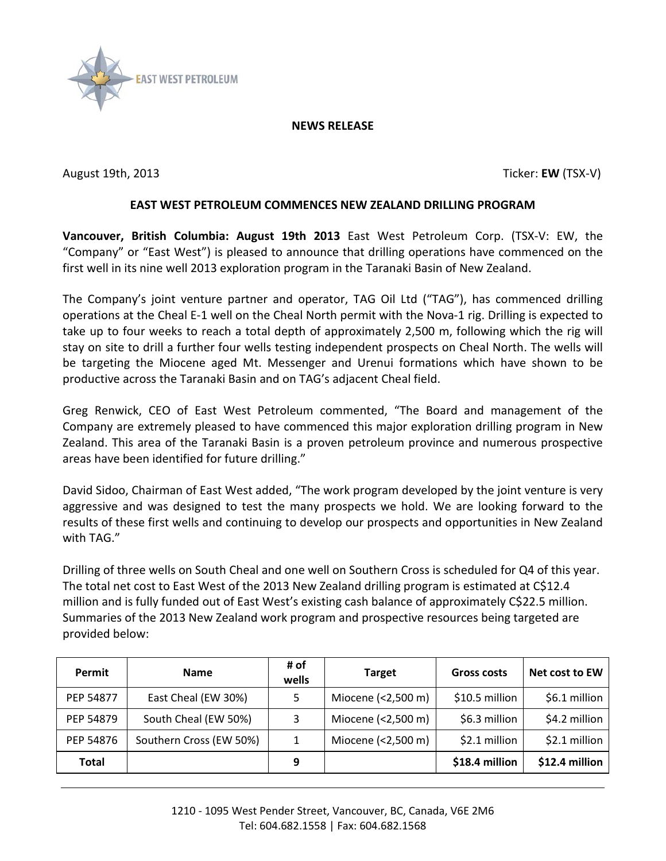

## **NEWS RELEASE**

August 19th, 2013 **Ticker: EW** (TSX-V)

## **EAST WEST PETROLEUM COMMENCES NEW ZEALAND DRILLING PROGRAM**

**Vancouver, British Columbia: August 19th 2013** East West Petroleum Corp. (TSX-V: EW, the "Company" or "East West") is pleased to announce that drilling operations have commenced on the first well in its nine well 2013 exploration program in the Taranaki Basin of New Zealand.

The Company's joint venture partner and operator, TAG Oil Ltd ("TAG"), has commenced drilling operations at the Cheal E-1 well on the Cheal North permit with the Nova-1 rig. Drilling is expected to take up to four weeks to reach a total depth of approximately 2,500 m, following which the rig will stay on site to drill a further four wells testing independent prospects on Cheal North. The wells will be targeting the Miocene aged Mt. Messenger and Urenui formations which have shown to be productive across the Taranaki Basin and on TAG's adjacent Cheal field.

Greg Renwick, CEO of East West Petroleum commented, "The Board and management of the Company are extremely pleased to have commenced this major exploration drilling program in New Zealand. This area of the Taranaki Basin is a proven petroleum province and numerous prospective areas have been identified for future drilling."

David Sidoo, Chairman of East West added, "The work program developed by the joint venture is very aggressive and was designed to test the many prospects we hold. We are looking forward to the results of these first wells and continuing to develop our prospects and opportunities in New Zealand with TAG."

Drilling of three wells on South Cheal and one well on Southern Cross is scheduled for Q4 of this year. The total net cost to East West of the 2013 New Zealand drilling program is estimated at C\$12.4 million and is fully funded out of East West's existing cash balance of approximately C\$22.5 million. Summaries of the 2013 New Zealand work program and prospective resources being targeted are provided below:

| Permit    | <b>Name</b>             | # of<br>wells | <b>Target</b>      | <b>Gross costs</b> | Net cost to EW  |
|-----------|-------------------------|---------------|--------------------|--------------------|-----------------|
| PEP 54877 | East Cheal (EW 30%)     | 5             | Miocene (<2,500 m) | \$10.5 million     | $$6.1$ million  |
| PEP 54879 | South Cheal (EW 50%)    | 3             | Miocene (<2,500 m) | \$6.3 million      | $$4.2$ million  |
| PEP 54876 | Southern Cross (EW 50%) | 1             | Miocene (<2,500 m) | $$2.1$ million     | $$2.1$ million  |
| Total     |                         | 9             |                    | \$18.4 million     | $$12.4$ million |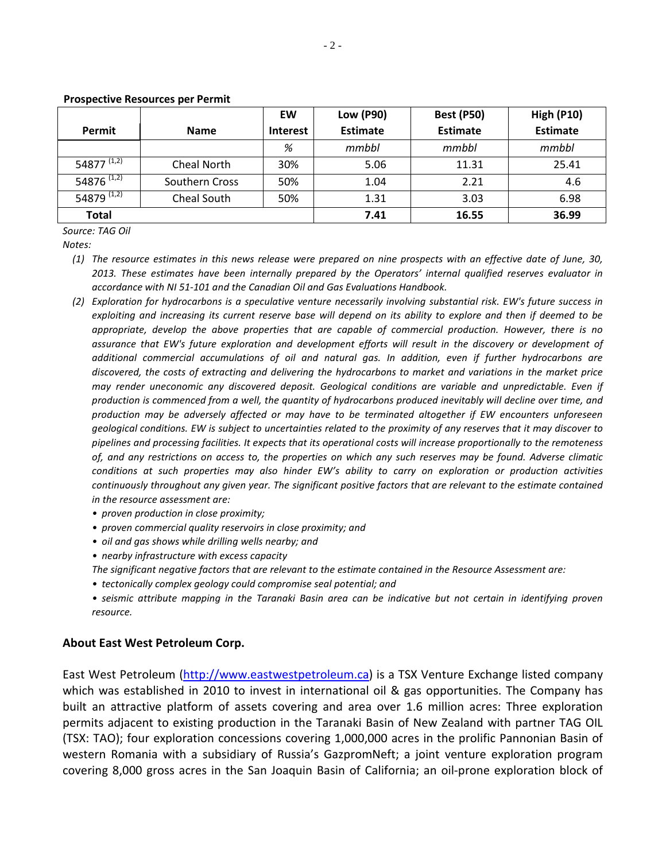|                             |                | EW              | <b>Low (P90)</b> | <b>Best (P50)</b> | <b>High (P10)</b> |
|-----------------------------|----------------|-----------------|------------------|-------------------|-------------------|
| Permit                      | <b>Name</b>    | <b>Interest</b> | <b>Estimate</b>  | <b>Estimate</b>   | <b>Estimate</b>   |
|                             |                | %               | mmbbl            | mmbbl             | mmbbl             |
| 54877 <sup>(1,2)</sup>      | Cheal North    | 30%             | 5.06             | 11.31             | 25.41             |
| 54876 $\overline{^{(1,2)}}$ | Southern Cross | 50%             | 1.04             | 2.21              | 4.6               |
| 54879 $\overline{^{(1,2)}}$ | Cheal South    | 50%             | 1.31             | 3.03              | 6.98              |
| <b>Total</b>                |                |                 | 7.41             | 16.55             | 36.99             |

## **Prospective Resources per Permit**

*Source: TAG Oil*

*Notes:* 

- *(1) The resource estimates in this news release were prepared on nine prospects with an effective date of June, 30, 2013. These estimates have been internally prepared by the Operators' internal qualified reserves evaluator in accordance with NI 51-101 and the Canadian Oil and Gas Evaluations Handbook.*
- *(2) Exploration for hydrocarbons is a speculative venture necessarily involving substantial risk. EW's future success in exploiting and increasing its current reserve base will depend on its ability to explore and then if deemed to be appropriate, develop the above properties that are capable of commercial production. However, there is no assurance that EW's future exploration and development efforts will result in the discovery or development of additional commercial accumulations of oil and natural gas. In addition, even if further hydrocarbons are discovered, the costs of extracting and delivering the hydrocarbons to market and variations in the market price may render uneconomic any discovered deposit. Geological conditions are variable and unpredictable. Even if production is commenced from a well, the quantity of hydrocarbons produced inevitably will decline over time, and production may be adversely affected or may have to be terminated altogether if EW encounters unforeseen geological conditions. EW is subject to uncertainties related to the proximity of any reserves that it may discover to pipelines and processing facilities. It expects that its operational costs will increase proportionally to the remoteness of, and any restrictions on access to, the properties on which any such reserves may be found. Adverse climatic conditions at such properties may also hinder EW's ability to carry on exploration or production activities continuously throughout any given year. The significant positive factors that are relevant to the estimate contained in the resource assessment are:* 
	- *• proven production in close proximity;*
	- *• proven commercial quality reservoirs in close proximity; and*
	- *• oil and gas shows while drilling wells nearby; and*
	- *• nearby infrastructure with excess capacity*
	- *The significant negative factors that are relevant to the estimate contained in the Resource Assessment are:*
	- *• tectonically complex geology could compromise seal potential; and*
	- *• seismic attribute mapping in the Taranaki Basin area can be indicative but not certain in identifying proven resource.*

## **About East West Petroleum Corp.**

East West Petroleum [\(http://www.eastwestpetroleum.ca\)](http://www.eastwestpetroleum.ca/) is a TSX Venture Exchange listed company which was established in 2010 to invest in international oil & gas opportunities. The Company has built an attractive platform of assets covering and area over 1.6 million acres: Three exploration permits adjacent to existing production in the Taranaki Basin of New Zealand with partner TAG OIL (TSX: TAO); four exploration concessions covering 1,000,000 acres in the prolific Pannonian Basin of western Romania with a subsidiary of Russia's GazpromNeft; a joint venture exploration program covering 8,000 gross acres in the San Joaquin Basin of California; an oil-prone exploration block of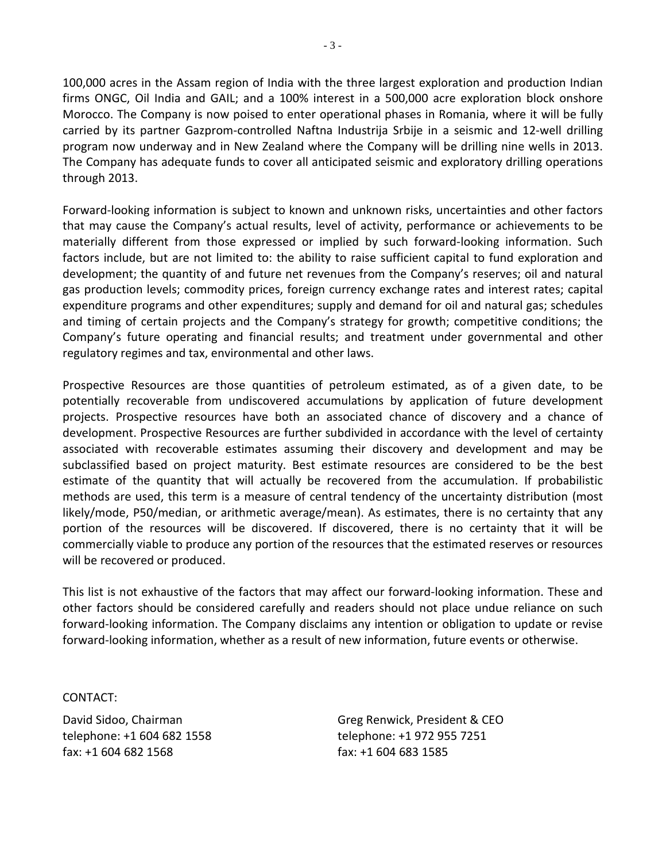100,000 acres in the Assam region of India with the three largest exploration and production Indian firms ONGC, Oil India and GAIL; and a 100% interest in a 500,000 acre exploration block onshore Morocco. The Company is now poised to enter operational phases in Romania, where it will be fully carried by its partner Gazprom-controlled Naftna Industrija Srbije in a seismic and 12-well drilling program now underway and in New Zealand where the Company will be drilling nine wells in 2013. The Company has adequate funds to cover all anticipated seismic and exploratory drilling operations through 2013.

Forward-looking information is subject to known and unknown risks, uncertainties and other factors that may cause the Company's actual results, level of activity, performance or achievements to be materially different from those expressed or implied by such forward-looking information. Such factors include, but are not limited to: the ability to raise sufficient capital to fund exploration and development; the quantity of and future net revenues from the Company's reserves; oil and natural gas production levels; commodity prices, foreign currency exchange rates and interest rates; capital expenditure programs and other expenditures; supply and demand for oil and natural gas; schedules and timing of certain projects and the Company's strategy for growth; competitive conditions; the Company's future operating and financial results; and treatment under governmental and other regulatory regimes and tax, environmental and other laws.

Prospective Resources are those quantities of petroleum estimated, as of a given date, to be potentially recoverable from undiscovered accumulations by application of future development projects. Prospective resources have both an associated chance of discovery and a chance of development. Prospective Resources are further subdivided in accordance with the level of certainty associated with recoverable estimates assuming their discovery and development and may be subclassified based on project maturity. Best estimate resources are considered to be the best estimate of the quantity that will actually be recovered from the accumulation. If probabilistic methods are used, this term is a measure of central tendency of the uncertainty distribution (most likely/mode, P50/median, or arithmetic average/mean). As estimates, there is no certainty that any portion of the resources will be discovered. If discovered, there is no certainty that it will be commercially viable to produce any portion of the resources that the estimated reserves or resources will be recovered or produced.

This list is not exhaustive of the factors that may affect our forward-looking information. These and other factors should be considered carefully and readers should not place undue reliance on such forward-looking information. The Company disclaims any intention or obligation to update or revise forward-looking information, whether as a result of new information, future events or otherwise.

CONTACT:

David Sidoo, Chairman telephone: +1 604 682 1558 fax: +1 604 682 1568

Greg Renwick, President & CEO telephone: +1 972 955 7251 fax: +1 604 683 1585